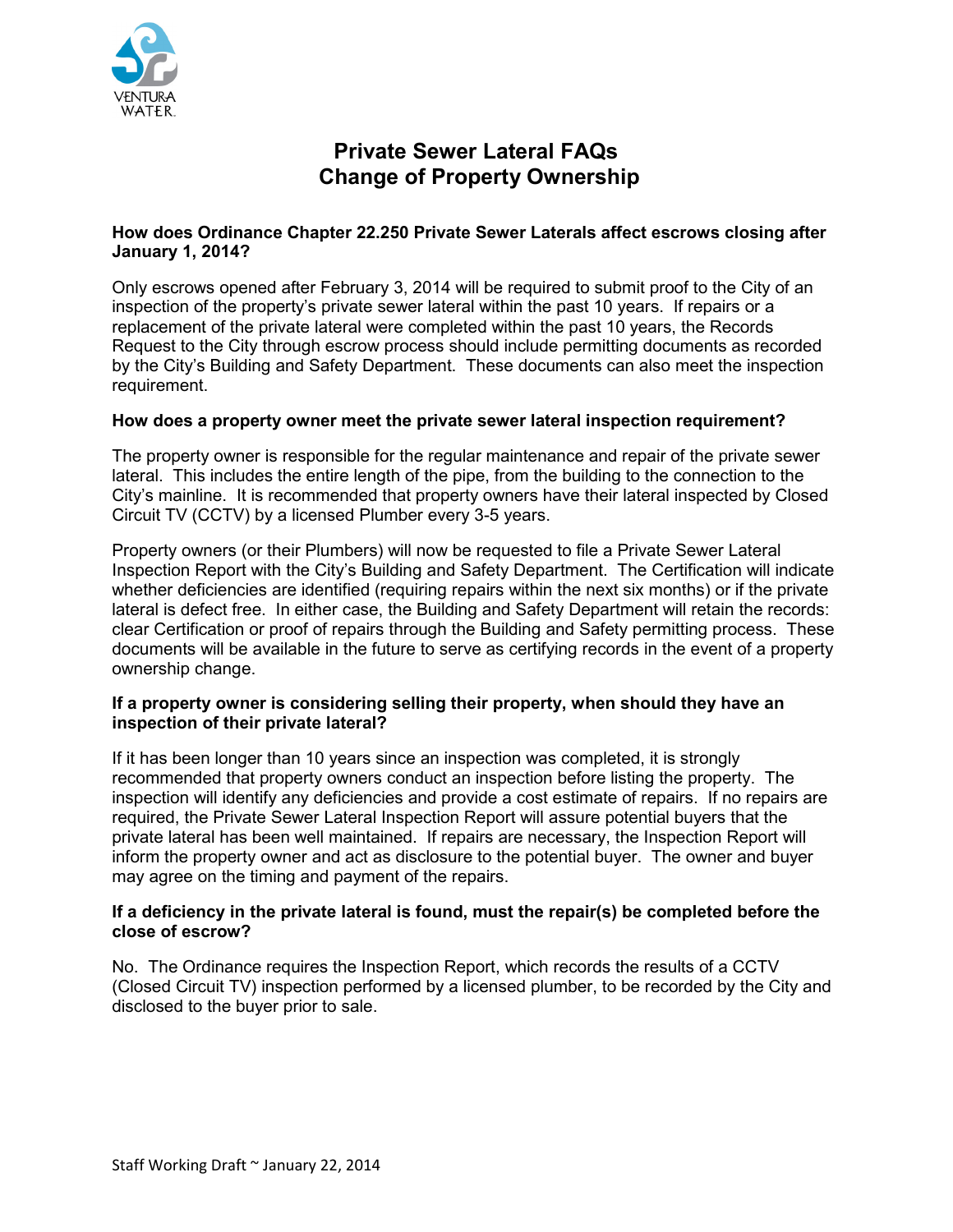

# **Private Sewer Lateral FAQs Change of Property Ownership**

# **How does Ordinance Chapter 22.250 Private Sewer Laterals affect escrows closing after January 1, 2014?**

Only escrows opened after February 3, 2014 will be required to submit proof to the City of an inspection of the property's private sewer lateral within the past 10 years. If repairs or a replacement of the private lateral were completed within the past 10 years, the Records Request to the City through escrow process should include permitting documents as recorded by the City's Building and Safety Department. These documents can also meet the inspection requirement.

# **How does a property owner meet the private sewer lateral inspection requirement?**

The property owner is responsible for the regular maintenance and repair of the private sewer lateral. This includes the entire length of the pipe, from the building to the connection to the City's mainline. It is recommended that property owners have their lateral inspected by Closed Circuit TV (CCTV) by a licensed Plumber every 3-5 years.

Property owners (or their Plumbers) will now be requested to file a Private Sewer Lateral Inspection Report with the City's Building and Safety Department. The Certification will indicate whether deficiencies are identified (requiring repairs within the next six months) or if the private lateral is defect free. In either case, the Building and Safety Department will retain the records: clear Certification or proof of repairs through the Building and Safety permitting process. These documents will be available in the future to serve as certifying records in the event of a property ownership change.

# **If a property owner is considering selling their property, when should they have an inspection of their private lateral?**

If it has been longer than 10 years since an inspection was completed, it is strongly recommended that property owners conduct an inspection before listing the property. The inspection will identify any deficiencies and provide a cost estimate of repairs. If no repairs are required, the Private Sewer Lateral Inspection Report will assure potential buyers that the private lateral has been well maintained. If repairs are necessary, the Inspection Report will inform the property owner and act as disclosure to the potential buyer. The owner and buyer may agree on the timing and payment of the repairs.

#### **If a deficiency in the private lateral is found, must the repair(s) be completed before the close of escrow?**

No. The Ordinance requires the Inspection Report, which records the results of a CCTV (Closed Circuit TV) inspection performed by a licensed plumber, to be recorded by the City and disclosed to the buyer prior to sale.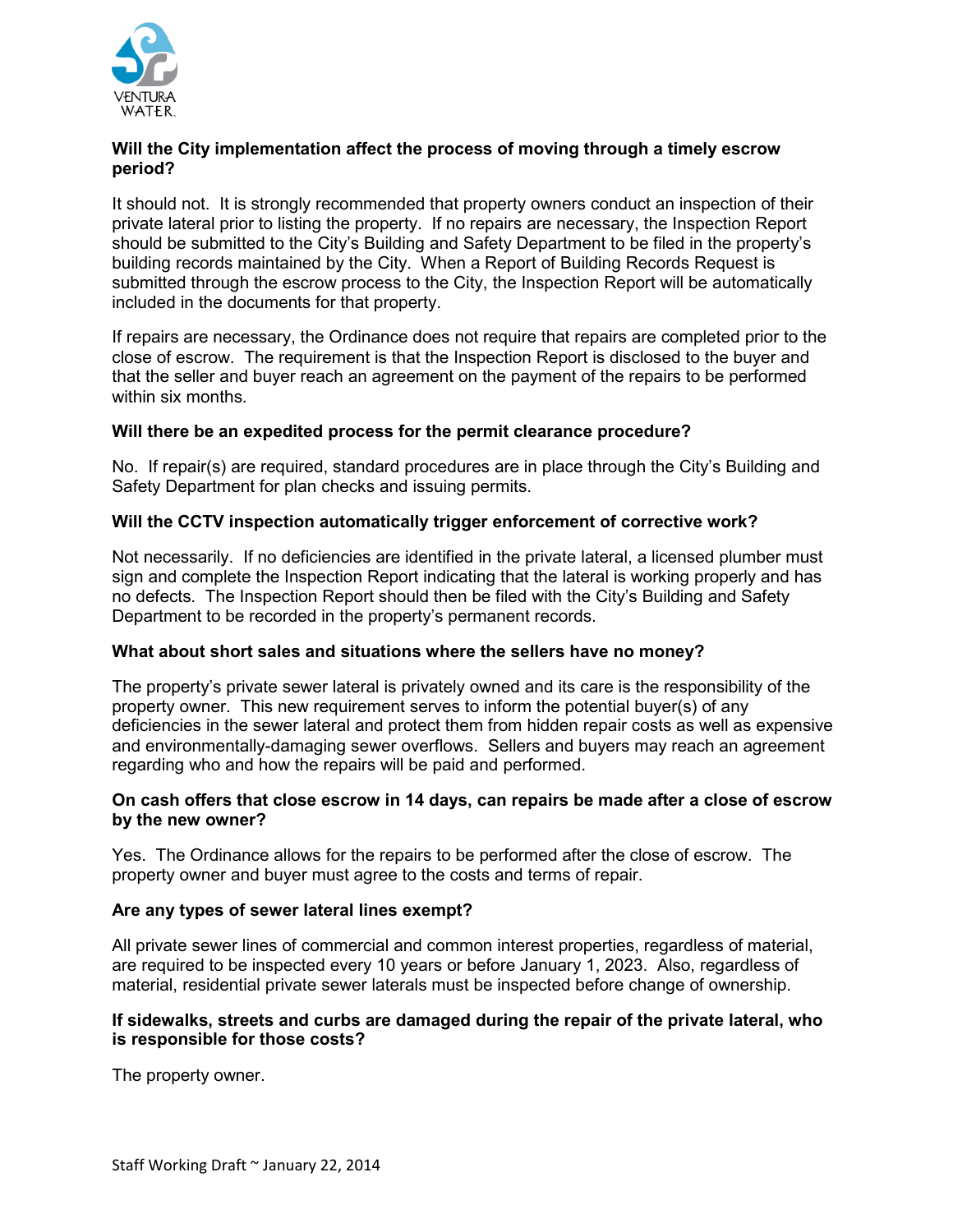

# **Will the City implementation affect the process of moving through a timely escrow period?**

It should not. It is strongly recommended that property owners conduct an inspection of their private lateral prior to listing the property. If no repairs are necessary, the Inspection Report should be submitted to the City's Building and Safety Department to be filed in the property's building records maintained by the City. When a Report of Building Records Request is submitted through the escrow process to the City, the Inspection Report will be automatically included in the documents for that property.

If repairs are necessary, the Ordinance does not require that repairs are completed prior to the close of escrow. The requirement is that the Inspection Report is disclosed to the buyer and that the seller and buyer reach an agreement on the payment of the repairs to be performed within six months.

# **Will there be an expedited process for the permit clearance procedure?**

No. If repair(s) are required, standard procedures are in place through the City's Building and Safety Department for plan checks and issuing permits.

# **Will the CCTV inspection automatically trigger enforcement of corrective work?**

Not necessarily. If no deficiencies are identified in the private lateral, a licensed plumber must sign and complete the Inspection Report indicating that the lateral is working properly and has no defects. The Inspection Report should then be filed with the City's Building and Safety Department to be recorded in the property's permanent records.

#### **What about short sales and situations where the sellers have no money?**

The property's private sewer lateral is privately owned and its care is the responsibility of the property owner. This new requirement serves to inform the potential buyer(s) of any deficiencies in the sewer lateral and protect them from hidden repair costs as well as expensive and environmentally-damaging sewer overflows. Sellers and buyers may reach an agreement regarding who and how the repairs will be paid and performed.

# **On cash offers that close escrow in 14 days, can repairs be made after a close of escrow by the new owner?**

Yes. The Ordinance allows for the repairs to be performed after the close of escrow. The property owner and buyer must agree to the costs and terms of repair.

#### **Are any types of sewer lateral lines exempt?**

All private sewer lines of commercial and common interest properties, regardless of material, are required to be inspected every 10 years or before January 1, 2023. Also, regardless of material, residential private sewer laterals must be inspected before change of ownership.

# **If sidewalks, streets and curbs are damaged during the repair of the private lateral, who is responsible for those costs?**

The property owner.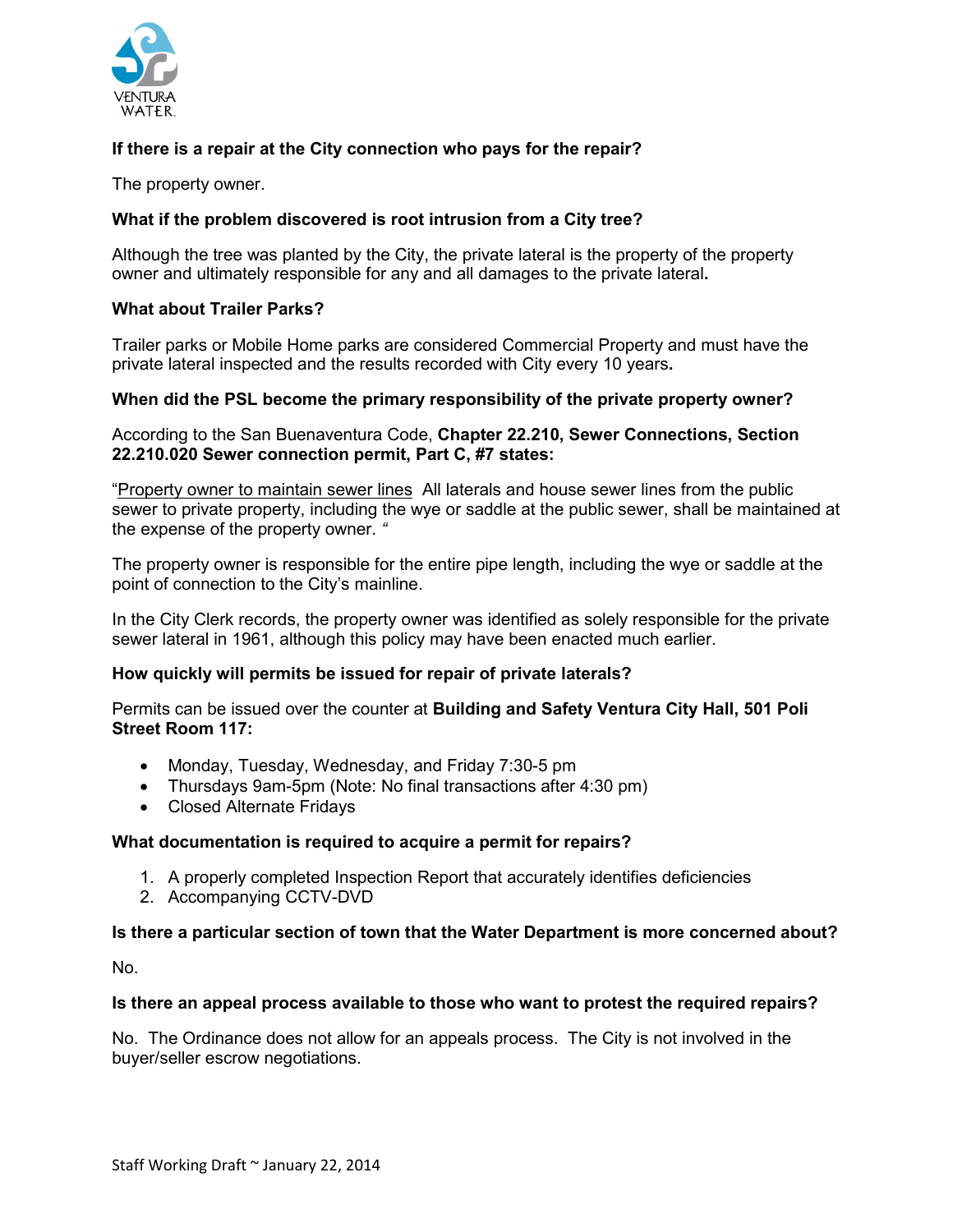

# **If there is a repair at the City connection who pays for the repair?**

The property owner.

# **What if the problem discovered is root intrusion from a City tree?**

Although the tree was planted by the City, the private lateral is the property of the property owner and ultimately responsible for any and all damages to the private lateral**.** 

# **What about Trailer Parks?**

Trailer parks or Mobile Home parks are considered Commercial Property and must have the private lateral inspected and the results recorded with City every 10 years**.** 

#### **When did the PSL become the primary responsibility of the private property owner?**

#### According to the San Buenaventura Code, **Chapter 22.210, Sewer Connections, Section 22.210.020 Sewer connection permit, Part C, #7 states:**

"Property owner to maintain sewer lines All laterals and house sewer lines from the public sewer to private property, including the wye or saddle at the public sewer, shall be maintained at the expense of the property owner. *"* 

The property owner is responsible for the entire pipe length, including the wye or saddle at the point of connection to the City's mainline.

In the City Clerk records, the property owner was identified as solely responsible for the private sewer lateral in 1961, although this policy may have been enacted much earlier.

#### **How quickly will permits be issued for repair of private laterals?**

Permits can be issued over the counter at **Building and Safety Ventura City Hall, 501 Poli Street Room 117:** 

- Monday, Tuesday, Wednesday, and Friday 7:30-5 pm
- Thursdays 9am-5pm (Note: No final transactions after 4:30 pm)
- Closed Alternate Fridays

#### **What documentation is required to acquire a permit for repairs?**

- 1. A properly completed Inspection Report that accurately identifies deficiencies
- 2. Accompanying CCTV-DVD

#### **Is there a particular section of town that the Water Department is more concerned about?**

No.

#### **Is there an appeal process available to those who want to protest the required repairs?**

No. The Ordinance does not allow for an appeals process. The City is not involved in the buyer/seller escrow negotiations.